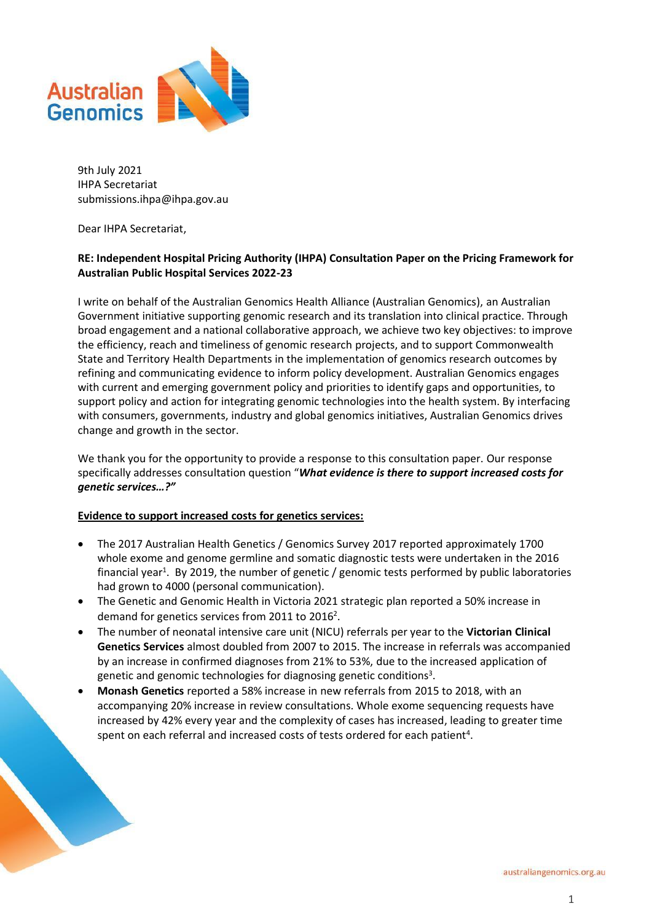

9th July 2021 IHPA Secretariat submissions.ihpa@ihpa.gov.au

Dear IHPA Secretariat,

# **RE: Independent Hospital Pricing Authority (IHPA) Consultation Paper on the Pricing Framework for Australian Public Hospital Services 2022-23**

I write on behalf of the Australian Genomics Health Alliance (Australian Genomics), an Australian Government initiative supporting genomic research and its translation into clinical practice. Through broad engagement and a national collaborative approach, we achieve two key objectives: to improve the efficiency, reach and timeliness of genomic research projects, and to support Commonwealth State and Territory Health Departments in the implementation of genomics research outcomes by refining and communicating evidence to inform policy development. Australian Genomics engages with current and emerging government policy and priorities to identify gaps and opportunities, to support policy and action for integrating genomic technologies into the health system. By interfacing with consumers, governments, industry and global genomics initiatives, Australian Genomics drives change and growth in the sector.

We thank you for the opportunity to provide a response to this consultation paper. Our response specifically addresses consultation question "*What evidence is there to support increased costs for genetic services…?"*

# **Evidence to support increased costs for genetics services:**

- The 2017 Australian Health Genetics / Genomics Survey 2017 reported approximately 1700 whole exome and genome germline and somatic diagnostic tests were undertaken in the 2016 financial year<sup>1</sup>. By 2019, the number of genetic / genomic tests performed by public laboratories had grown to 4000 (personal communication).
- The Genetic and Genomic Health in Victoria 2021 strategic plan reported a 50% increase in demand for genetics services from 2011 to 2016<sup>2</sup>.
- The number of neonatal intensive care unit (NICU) referrals per year to the **Victorian Clinical Genetics Services** almost doubled from 2007 to 2015. The increase in referrals was accompanied by an increase in confirmed diagnoses from 21% to 53%, due to the increased application of genetic and genomic technologies for diagnosing genetic conditions<sup>3</sup>.
- **Monash Genetics** reported a 58% increase in new referrals from 2015 to 2018, with an accompanying 20% increase in review consultations. Whole exome sequencing requests have increased by 42% every year and the complexity of cases has increased, leading to greater time spent on each referral and increased costs of tests ordered for each patient<sup>4</sup>.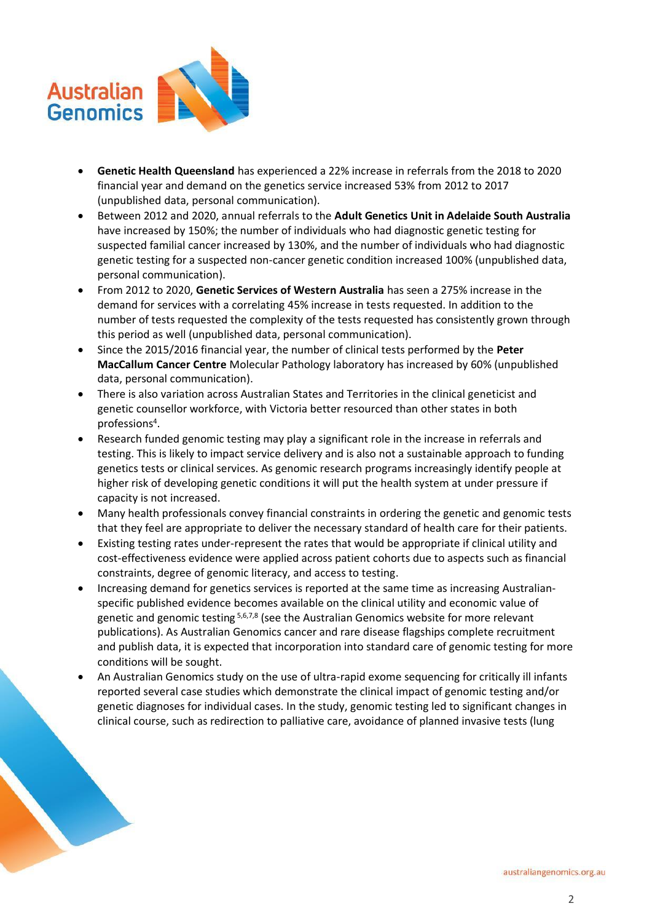

- **Genetic Health Queensland** has experienced a 22% increase in referrals from the 2018 to 2020 financial year and demand on the genetics service increased 53% from 2012 to 2017 (unpublished data, personal communication).
- Between 2012 and 2020, annual referrals to the **Adult Genetics Unit in Adelaide South Australia** have increased by 150%; the number of individuals who had diagnostic genetic testing for suspected familial cancer increased by 130%, and the number of individuals who had diagnostic genetic testing for a suspected non-cancer genetic condition increased 100% (unpublished data, personal communication).
- From 2012 to 2020, **Genetic Services of Western Australia** has seen a 275% increase in the demand for services with a correlating 45% increase in tests requested. In addition to the number of tests requested the complexity of the tests requested has consistently grown through this period as well (unpublished data, personal communication).
- Since the 2015/2016 financial year, the number of clinical tests performed by the **Peter MacCallum Cancer Centre** Molecular Pathology laboratory has increased by 60% (unpublished data, personal communication).
- There is also variation across Australian States and Territories in the clinical geneticist and genetic counsellor workforce, with Victoria better resourced than other states in both professions<sup>4</sup> .
- Research funded genomic testing may play a significant role in the increase in referrals and testing. This is likely to impact service delivery and is also not a sustainable approach to funding genetics tests or clinical services. As genomic research programs increasingly identify people at higher risk of developing genetic conditions it will put the health system at under pressure if capacity is not increased.
- Many health professionals convey financial constraints in ordering the genetic and genomic tests that they feel are appropriate to deliver the necessary standard of health care for their patients.
- Existing testing rates under-represent the rates that would be appropriate if clinical utility and cost-effectiveness evidence were applied across patient cohorts due to aspects such as financial constraints, degree of genomic literacy, and access to testing.
- Increasing demand for genetics services is reported at the same time as increasing Australianspecific published evidence becomes available on the clinical utility and economic value of genetic and genomic testing 5,6,7,8 (see the Australian Genomics website for more relevant publications). As Australian Genomics cancer and rare disease flagships complete recruitment and publish data, it is expected that incorporation into standard care of genomic testing for more conditions will be sought.
- An Australian Genomics study on the use of ultra-rapid exome sequencing for critically ill infants reported several case studies which demonstrate the clinical impact of genomic testing and/or genetic diagnoses for individual cases. In the study, genomic testing led to significant changes in clinical course, such as redirection to palliative care, avoidance of planned invasive tests (lung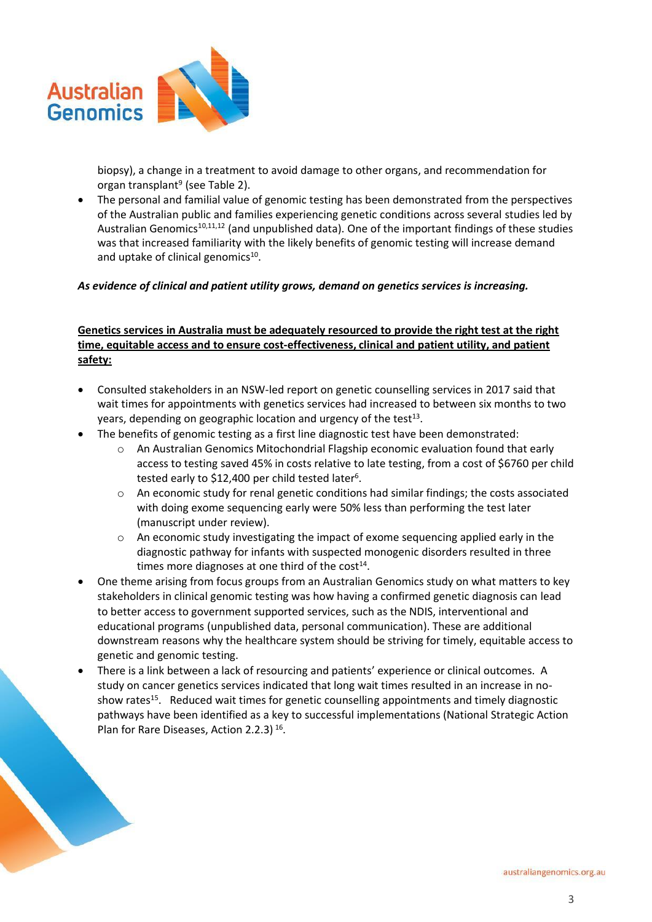

biopsy), a change in a treatment to avoid damage to other organs, and recommendation for organ transplant<sup>9</sup> (see Table 2).

• The personal and familial value of genomic testing has been demonstrated from the perspectives of the Australian public and families experiencing genetic conditions across several studies led by Australian Genomics<sup>10,11,12</sup> (and unpublished data). One of the important findings of these studies was that increased familiarity with the likely benefits of genomic testing will increase demand and uptake of clinical genomics<sup>10</sup>.

# *As evidence of clinical and patient utility grows, demand on genetics services is increasing.*

# **Genetics services in Australia must be adequately resourced to provide the right test at the right time, equitable access and to ensure cost-effectiveness, clinical and patient utility, and patient safety:**

- Consulted stakeholders in an NSW-led report on genetic counselling services in 2017 said that wait times for appointments with genetics services had increased to between six months to two years, depending on geographic location and urgency of the test<sup>13</sup>.
- The benefits of genomic testing as a first line diagnostic test have been demonstrated:
	- o An Australian Genomics Mitochondrial Flagship economic evaluation found that early access to testing saved 45% in costs relative to late testing, from a cost of \$6760 per child tested early to \$12,400 per child tested later<sup>6</sup>.
	- $\circ$  An economic study for renal genetic conditions had similar findings; the costs associated with doing exome sequencing early were 50% less than performing the test later (manuscript under review).
	- $\circ$  An economic study investigating the impact of exome sequencing applied early in the diagnostic pathway for infants with suspected monogenic disorders resulted in three times more diagnoses at one third of the cost<sup>14</sup>.
- One theme arising from focus groups from an Australian Genomics study on what matters to key stakeholders in clinical genomic testing was how having a confirmed genetic diagnosis can lead to better access to government supported services, such as the NDIS, interventional and educational programs (unpublished data, personal communication). These are additional downstream reasons why the healthcare system should be striving for timely, equitable access to genetic and genomic testing.
- There is a link between a lack of resourcing and patients' experience or clinical outcomes. A study on cancer genetics services indicated that long wait times resulted in an increase in noshow rates<sup>15</sup>. Reduced wait times for genetic counselling appointments and timely diagnostic pathways have been identified as a key to successful implementations (National Strategic Action Plan for Rare Diseases, Action 2.2.3)<sup>16</sup>.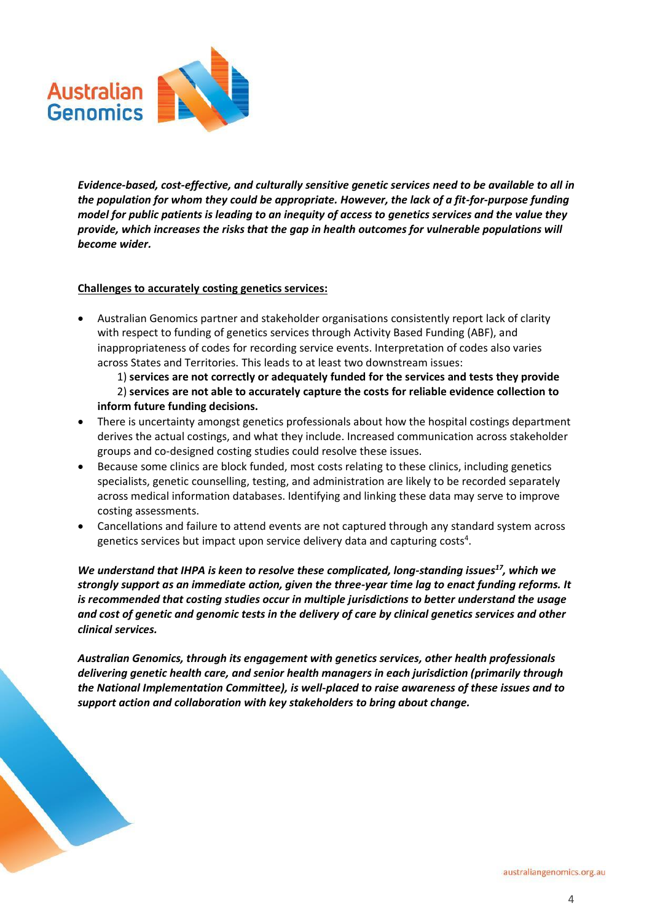

*Evidence-based, cost-effective, and culturally sensitive genetic services need to be available to all in the population for whom they could be appropriate. However, the lack of a fit-for-purpose funding model for public patients is leading to an inequity of access to genetics services and the value they provide, which increases the risks that the gap in health outcomes for vulnerable populations will become wider.*

# **Challenges to accurately costing genetics services:**

• Australian Genomics partner and stakeholder organisations consistently report lack of clarity with respect to funding of genetics services through Activity Based Funding (ABF), and inappropriateness of codes for recording service events. Interpretation of codes also varies across States and Territories. This leads to at least two downstream issues:

1) **services are not correctly or adequately funded for the services and tests they provide** 2) **services are not able to accurately capture the costs for reliable evidence collection to inform future funding decisions.**

- There is uncertainty amongst genetics professionals about how the hospital costings department derives the actual costings, and what they include. Increased communication across stakeholder groups and co-designed costing studies could resolve these issues.
- Because some clinics are block funded, most costs relating to these clinics, including genetics specialists, genetic counselling, testing, and administration are likely to be recorded separately across medical information databases. Identifying and linking these data may serve to improve costing assessments.
- Cancellations and failure to attend events are not captured through any standard system across genetics services but impact upon service delivery data and capturing costs<sup>4</sup>.

*We understand that IHPA is keen to resolve these complicated, long-standing issues<sup>17</sup>, which we strongly support as an immediate action, given the three-year time lag to enact funding reforms. It is recommended that costing studies occur in multiple jurisdictions to better understand the usage and cost of genetic and genomic tests in the delivery of care by clinical genetics services and other clinical services.*

*Australian Genomics, through its engagement with genetics services, other health professionals delivering genetic health care, and senior health managers in each jurisdiction (primarily through the National Implementation Committee), is well-placed to raise awareness of these issues and to support action and collaboration with key stakeholders to bring about change.*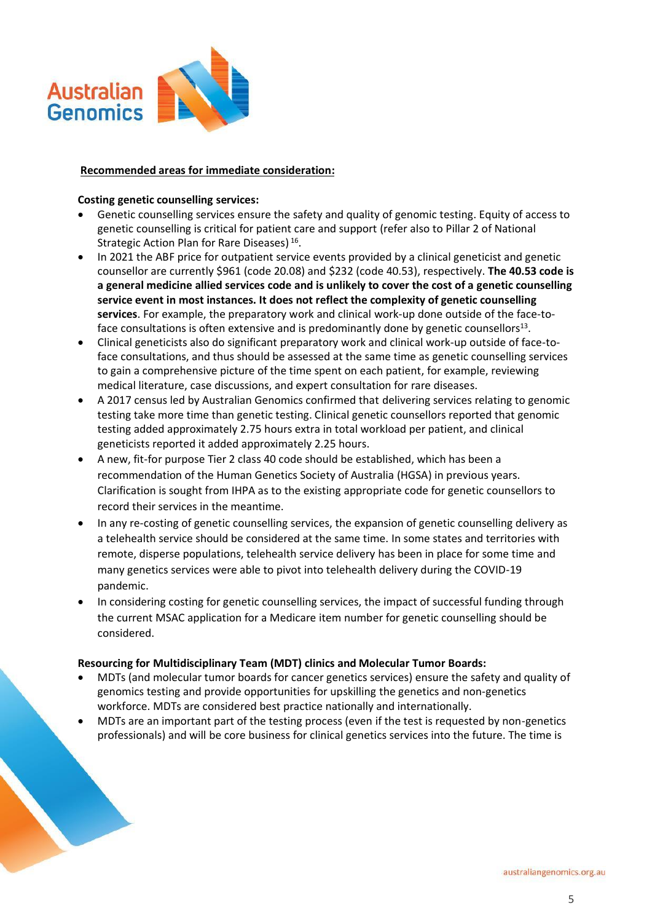

# **Recommended areas for immediate consideration:**

### **Costing genetic counselling services:**

- Genetic counselling services ensure the safety and quality of genomic testing. Equity of access to genetic counselling is critical for patient care and support (refer also to Pillar 2 of National Strategic Action Plan for Rare Diseases)<sup>16</sup>.
- In 2021 the ABF price for outpatient service events provided by a clinical geneticist and genetic counsellor are currently \$961 (code 20.08) and \$232 (code 40.53), respectively. **The 40.53 code is a general medicine allied services code and is unlikely to cover the cost of a genetic counselling service event in most instances. It does not reflect the complexity of genetic counselling services**. For example, the preparatory work and clinical work-up done outside of the face-toface consultations is often extensive and is predominantly done by genetic counsellors<sup>13</sup>.
- Clinical geneticists also do significant preparatory work and clinical work-up outside of face-toface consultations, and thus should be assessed at the same time as genetic counselling services to gain a comprehensive picture of the time spent on each patient, for example, reviewing medical literature, case discussions, and expert consultation for rare diseases.
- A 2017 census led by Australian Genomics confirmed that delivering services relating to genomic testing take more time than genetic testing. Clinical genetic counsellors reported that genomic testing added approximately 2.75 hours extra in total workload per patient, and clinical geneticists reported it added approximately 2.25 hours.
- A new, fit-for purpose Tier 2 class 40 code should be established, which has been a recommendation of the Human Genetics Society of Australia (HGSA) in previous years. Clarification is sought from IHPA as to the existing appropriate code for genetic counsellors to record their services in the meantime.
- In any re-costing of genetic counselling services, the expansion of genetic counselling delivery as a telehealth service should be considered at the same time. In some states and territories with remote, disperse populations, telehealth service delivery has been in place for some time and many genetics services were able to pivot into telehealth delivery during the COVID-19 pandemic.
- In considering costing for genetic counselling services, the impact of successful funding through the current MSAC application for a Medicare item number for genetic counselling should be considered.

# **Resourcing for Multidisciplinary Team (MDT) clinics and Molecular Tumor Boards:**

- MDTs (and molecular tumor boards for cancer genetics services) ensure the safety and quality of genomics testing and provide opportunities for upskilling the genetics and non-genetics workforce. MDTs are considered best practice nationally and internationally.
- MDTs are an important part of the testing process (even if the test is requested by non-genetics professionals) and will be core business for clinical genetics services into the future. The time is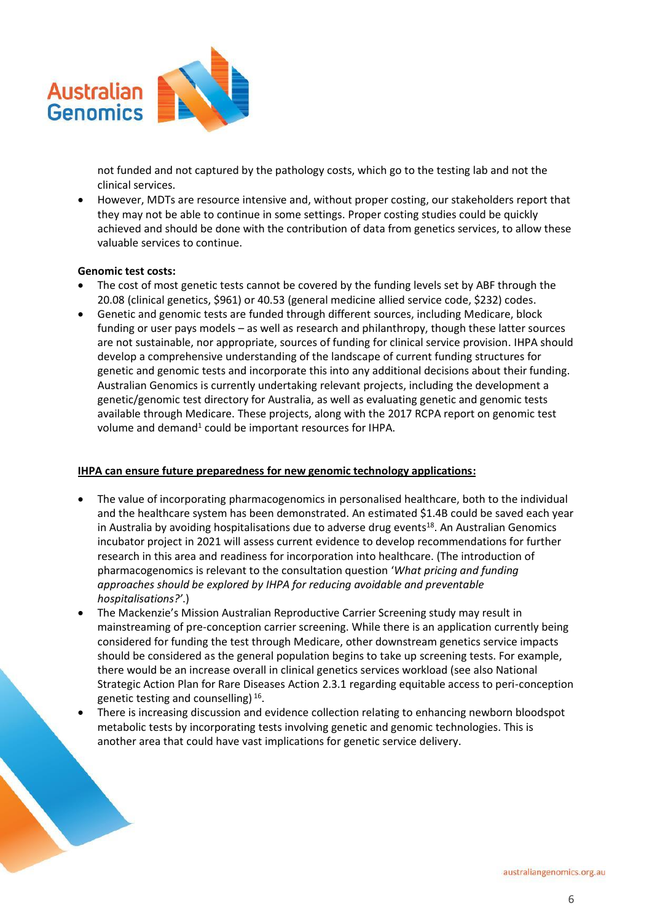

not funded and not captured by the pathology costs, which go to the testing lab and not the clinical services.

• However, MDTs are resource intensive and, without proper costing, our stakeholders report that they may not be able to continue in some settings. Proper costing studies could be quickly achieved and should be done with the contribution of data from genetics services, to allow these valuable services to continue.

# **Genomic test costs:**

- The cost of most genetic tests cannot be covered by the funding levels set by ABF through the 20.08 (clinical genetics, \$961) or 40.53 (general medicine allied service code, \$232) codes.
- Genetic and genomic tests are funded through different sources, including Medicare, block funding or user pays models – as well as research and philanthropy, though these latter sources are not sustainable, nor appropriate, sources of funding for clinical service provision. IHPA should develop a comprehensive understanding of the landscape of current funding structures for genetic and genomic tests and incorporate this into any additional decisions about their funding. Australian Genomics is currently undertaking relevant projects, including the development a genetic/genomic test directory for Australia, as well as evaluating genetic and genomic tests available through Medicare. These projects, along with the 2017 RCPA report on genomic test volume and demand<sup>1</sup> could be important resources for IHPA.

# **IHPA can ensure future preparedness for new genomic technology applications:**

- The value of incorporating pharmacogenomics in personalised healthcare, both to the individual and the healthcare system has been demonstrated. An estimated \$1.4B could be saved each year in Australia by avoiding hospitalisations due to adverse drug events<sup>18</sup>. An Australian Genomics incubator project in 2021 will assess current evidence to develop recommendations for further research in this area and readiness for incorporation into healthcare. (The introduction of pharmacogenomics is relevant to the consultation question '*What pricing and funding approaches should be explored by IHPA for reducing avoidable and preventable hospitalisations?'*.)
- The Mackenzie's Mission Australian Reproductive Carrier Screening study may result in mainstreaming of pre-conception carrier screening. While there is an application currently being considered for funding the test through Medicare, other downstream genetics service impacts should be considered as the general population begins to take up screening tests. For example, there would be an increase overall in clinical genetics services workload (see also National Strategic Action Plan for Rare Diseases Action 2.3.1 regarding equitable access to peri-conception genetic testing and counselling)<sup>16</sup>.
- There is increasing discussion and evidence collection relating to enhancing newborn bloodspot metabolic tests by incorporating tests involving genetic and genomic technologies. This is another area that could have vast implications for genetic service delivery.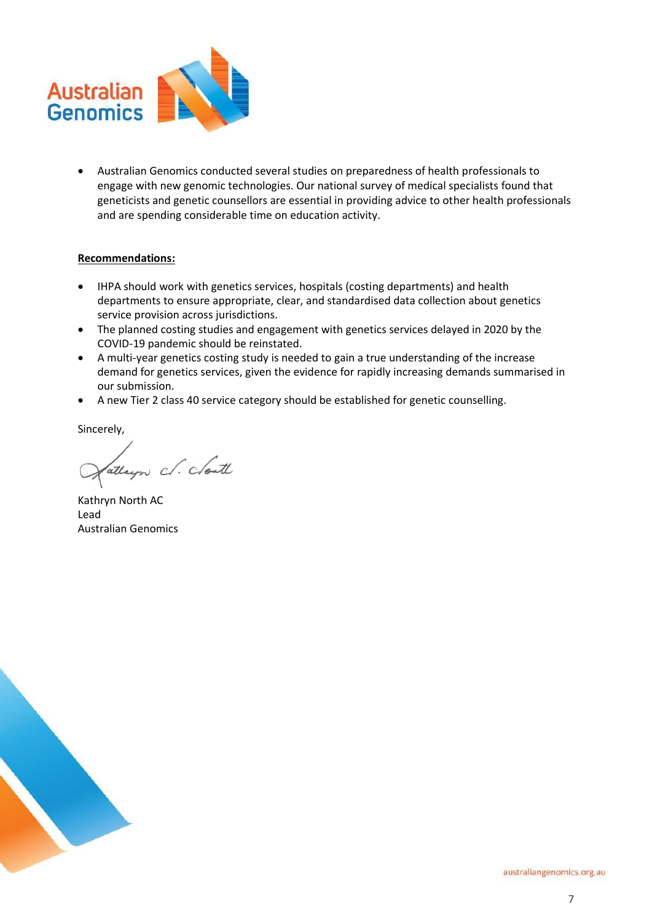

• Australian Genomics conducted several studies on preparedness of health professionals to engage with new genomic technologies. Our national survey of medical specialists found that geneticists and genetic counsellors are essential in providing advice to other health professionals and are spending considerable time on education activity.

# **Recommendations:**

- IHPA should work with genetics services, hospitals (costing departments) and health departments to ensure appropriate, clear, and standardised data collection about genetics service provision across jurisdictions.
- The planned costing studies and engagement with genetics services delayed in 2020 by the COVID-19 pandemic should be reinstated.
- A multi-year genetics costing study is needed to gain a true understanding of the increase demand for genetics services, given the evidence for rapidly increasing demands summarised in our submission.
- A new Tier 2 class 40 service category should be established for genetic counselling.

Sincerely,

attayor c. clouth

Kathryn North AC Lead Australian Genomics